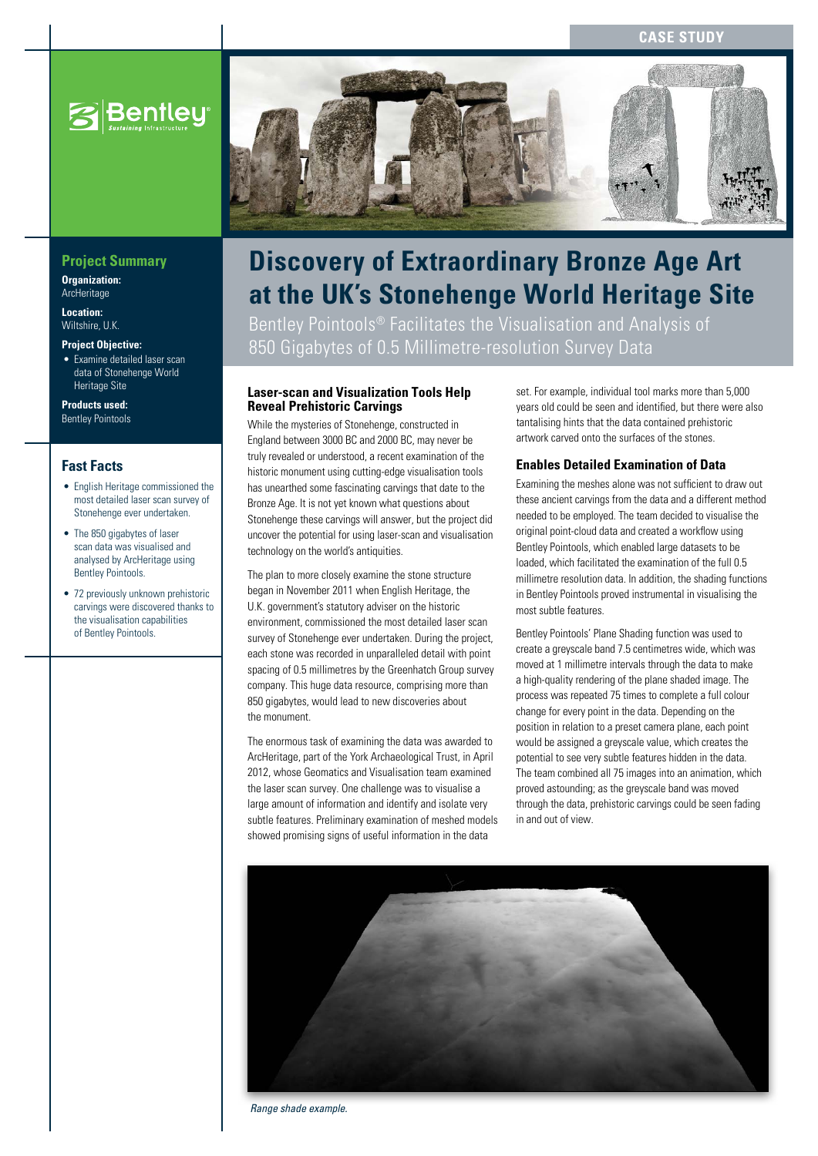#### **Case Study**



### **Project Summary**

**Organization: ArcHeritage** 

**Location:**  Wiltshire, U.K.

**Project Objective:**

• Examine detailed laser scan data of Stonehenge World Heritage Site

**Products used:** Bentley Pointools

#### **Fast Facts**

- English Heritage commissioned the most detailed laser scan survey of Stonehenge ever undertaken.
- The 850 gigabytes of laser scan data was visualised and analysed by ArcHeritage using Bentley Pointools.
- 72 previously unknown prehistoric carvings were discovered thanks to the visualisation capabilities of Bentley Pointools.



# **Discovery of Extraordinary Bronze Age Art at the UK's Stonehenge World Heritage Site**

Bentley Pointools® Facilitates the Visualisation and Analysis of 850 Gigabytes of 0.5 Millimetre-resolution Survey Data

#### **Laser-scan and Visualization Tools Help Reveal Prehistoric Carvings**

While the mysteries of Stonehenge, constructed in England between 3000 BC and 2000 BC, may never be truly revealed or understood, a recent examination of the historic monument using cutting-edge visualisation tools has unearthed some fascinating carvings that date to the Bronze Age. It is not yet known what questions about Stonehenge these carvings will answer, but the project did uncover the potential for using laser-scan and visualisation technology on the world's antiquities.

The plan to more closely examine the stone structure began in November 2011 when English Heritage, the U.K. government's statutory adviser on the historic environment, commissioned the most detailed laser scan survey of Stonehenge ever undertaken. During the project, each stone was recorded in unparalleled detail with point spacing of 0.5 millimetres by the Greenhatch Group survey company. This huge data resource, comprising more than 850 gigabytes, would lead to new discoveries about the monument.

The enormous task of examining the data was awarded to ArcHeritage, part of the York Archaeological Trust, in April 2012, whose Geomatics and Visualisation team examined the laser scan survey. One challenge was to visualise a large amount of information and identify and isolate very subtle features. Preliminary examination of meshed models showed promising signs of useful information in the data

set. For example, individual tool marks more than 5,000 years old could be seen and identified, but there were also tantalising hints that the data contained prehistoric artwork carved onto the surfaces of the stones.

#### **Enables Detailed Examination of Data**

Examining the meshes alone was not sufficient to draw out these ancient carvings from the data and a different method needed to be employed. The team decided to visualise the original point-cloud data and created a workflow using Bentley Pointools, which enabled large datasets to be loaded, which facilitated the examination of the full 0.5 millimetre resolution data. In addition, the shading functions in Bentley Pointools proved instrumental in visualising the most subtle features.

Bentley Pointools' Plane Shading function was used to create a greyscale band 7.5 centimetres wide, which was moved at 1 millimetre intervals through the data to make a high-quality rendering of the plane shaded image. The process was repeated 75 times to complete a full colour change for every point in the data. Depending on the position in relation to a preset camera plane, each point would be assigned a greyscale value, which creates the potential to see very subtle features hidden in the data. The team combined all 75 images into an animation, which proved astounding; as the greyscale band was moved through the data, prehistoric carvings could be seen fading in and out of view.



*Range shade example.*